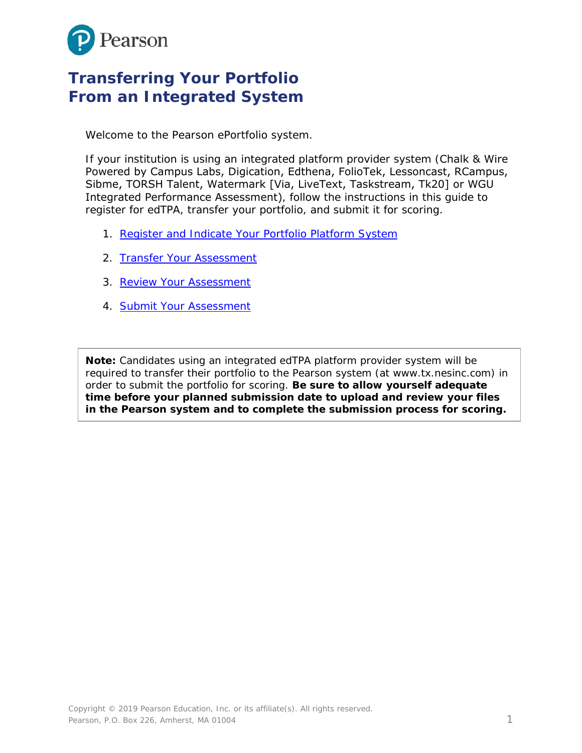

# **Transferring Your Portfolio From an Integrated System**

Welcome to the Pearson ePortfolio system.

If your institution is using an integrated platform provider system (Chalk & Wire Powered by Campus Labs, Digication, Edthena, FolioTek, Lessoncast, RCampus, Sibme, TORSH Talent, Watermark [Via, LiveText, Taskstream, Tk20] or WGU Integrated Performance Assessment), follow the instructions in this guide to register for edTPA, transfer your portfolio, and submit it for scoring.

- 1. Register and Indicate [Your Portfolio Platform](#page-1-0) System
- 2. [Transfer Your Assessment](#page-4-0)
- 3. [Review Your Assessment](#page-5-0)
- 4. [Submit Your Assessment](#page-7-0)

**Note:** Candidates using an integrated edTPA platform provider system will be required to transfer their portfolio to the Pearson system (at www.tx.nesinc.com) in order to submit the portfolio for scoring. **Be sure to allow yourself adequate time before your planned submission date to upload and review your files in the Pearson system and to complete the submission process for scoring.**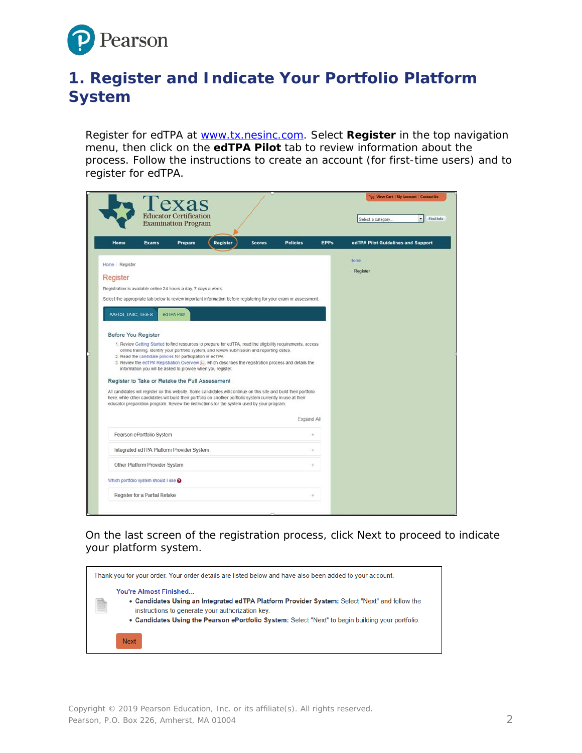

## <span id="page-1-0"></span>**1. Register and Indicate Your Portfolio Platform System**

Register for edTPA at [www.tx.nesinc.com.](http://www.tx.nesinc.com/) Select **Register** in the top navigation menu, then click on the **edTPA Pilot** tab to review information about the process. Follow the instructions to create an account (for first-time users) and to register for edTPA.

|                     |                                     | Texas<br><b>Educator Certification</b><br><b>Examination Program</b>                                                      |                                                                                                                                                                                                                                                                                                                                   |               |                 |             | Select a category.                 | ۰<br>Find Info |
|---------------------|-------------------------------------|---------------------------------------------------------------------------------------------------------------------------|-----------------------------------------------------------------------------------------------------------------------------------------------------------------------------------------------------------------------------------------------------------------------------------------------------------------------------------|---------------|-----------------|-------------|------------------------------------|----------------|
| Home                | <b>Exams</b>                        | Prepare                                                                                                                   | Register                                                                                                                                                                                                                                                                                                                          | <b>Scores</b> | <b>Policies</b> | <b>EPPs</b> | edTPA Pilot Guidelines and Support |                |
| Home / Register     |                                     |                                                                                                                           |                                                                                                                                                                                                                                                                                                                                   |               |                 |             | Home                               |                |
| Register            |                                     |                                                                                                                           |                                                                                                                                                                                                                                                                                                                                   |               |                 |             | · Register                         |                |
|                     |                                     | Registration is available online 24 hours a day, 7 days a week.                                                           |                                                                                                                                                                                                                                                                                                                                   |               |                 |             |                                    |                |
|                     |                                     |                                                                                                                           | Select the appropriate tab below to review important information before registering for your exam or assessment.                                                                                                                                                                                                                  |               |                 |             |                                    |                |
| AAFCS, TASC, TEXES  |                                     | edTPA Pilot                                                                                                               |                                                                                                                                                                                                                                                                                                                                   |               |                 |             |                                    |                |
|                     |                                     |                                                                                                                           |                                                                                                                                                                                                                                                                                                                                   |               |                 |             |                                    |                |
| Before You Register |                                     |                                                                                                                           |                                                                                                                                                                                                                                                                                                                                   |               |                 |             |                                    |                |
|                     |                                     | 2. Read the candidate policies for participation in edTPA.<br>information you will be asked to provide when you register. | 1. Review Getting Started to find resources to prepare for edTPA, read the eligibility requirements, access<br>online training, identify your portfolio system, and review submission and reporting dates.<br>3. Review the edTPA Registration Overview C, which describes the registration process and details the               |               |                 |             |                                    |                |
|                     |                                     | Register to Take or Retake the Full Assessment                                                                            |                                                                                                                                                                                                                                                                                                                                   |               |                 |             |                                    |                |
|                     |                                     |                                                                                                                           | All candidates will register on this website. Some candidates will continue on this site and build their portfolio<br>here, while other candidates will build their portfolio on another portfolio system currently in use at their<br>educator preparation program. Review the instructions for the system used by your program: |               |                 |             |                                    |                |
|                     |                                     |                                                                                                                           |                                                                                                                                                                                                                                                                                                                                   |               | Expand All      |             |                                    |                |
|                     | Pearson ePortfolio System           |                                                                                                                           |                                                                                                                                                                                                                                                                                                                                   |               |                 | ÷.          |                                    |                |
|                     |                                     | Integrated edTPA Platform Provider System                                                                                 |                                                                                                                                                                                                                                                                                                                                   |               |                 | ÷           |                                    |                |
|                     | Other Platform Provider System      |                                                                                                                           |                                                                                                                                                                                                                                                                                                                                   |               |                 | ÷           |                                    |                |
|                     | Which portfolio system should I use |                                                                                                                           |                                                                                                                                                                                                                                                                                                                                   |               |                 |             |                                    |                |
|                     | Register for a Partial Retake       |                                                                                                                           |                                                                                                                                                                                                                                                                                                                                   |               |                 |             |                                    |                |

On the last screen of the registration process, click Next to proceed to indicate your platform system.

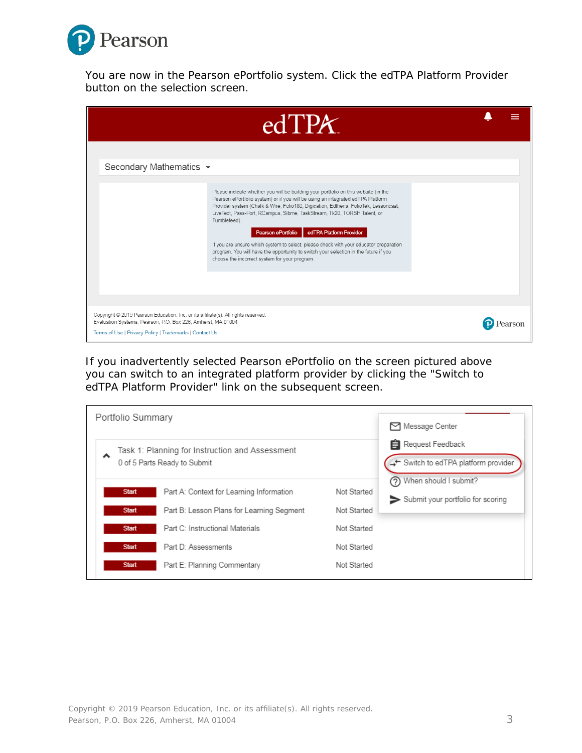

You are now in the Pearson ePortfolio system. Click the edTPA Platform Provider button on the selection screen.

|                                                                                                                                                                                                               | edTPX                                                                                                                                                                                                                                                                                                                                                                                                                                                                                                                                                                                                                                       |  |  |
|---------------------------------------------------------------------------------------------------------------------------------------------------------------------------------------------------------------|---------------------------------------------------------------------------------------------------------------------------------------------------------------------------------------------------------------------------------------------------------------------------------------------------------------------------------------------------------------------------------------------------------------------------------------------------------------------------------------------------------------------------------------------------------------------------------------------------------------------------------------------|--|--|
| Secondary Mathematics ▼                                                                                                                                                                                       | Please indicate whether you will be building your portfolio on this website (in the<br>Pearson ePortfolio system) or if you will be using an integrated edTPA Platform<br>Provider system (Chalk & Wire, Folio180, Digication, Edthena, FolioTek, Lessoncast,<br>LiveText, Pass-Port, RCampus, Sibme, TaskStream, Tk20, TORSH Talent, or<br>Tumblefeed).<br>edTPA Platform Provider<br>Pearson ePortfolio<br>If you are unsure which system to select, please check with your educator preparation<br>program. You will have the opportunity to switch your selection in the future if you<br>choose the incorrect system for your program. |  |  |
| Copyright @ 2019 Pearson Education, Inc. or its affiliate(s). All rights reserved.<br>Evaluation Systems, Pearson, P.O. Box 226, Amherst, MA 01004<br>Terms of Use   Privacy Policy   Trademarks   Contact Us |                                                                                                                                                                                                                                                                                                                                                                                                                                                                                                                                                                                                                                             |  |  |

If you inadvertently selected Pearson ePortfolio on the screen pictured above you can switch to an integrated platform provider by clicking the "Switch to edTPA Platform Provider" link on the subsequent screen.

| Portfolio Summary |                                                                                 |             | Message Center                                                                      |
|-------------------|---------------------------------------------------------------------------------|-------------|-------------------------------------------------------------------------------------|
|                   | Task 1: Planning for Instruction and Assessment<br>0 of 5 Parts Ready to Submit |             | Request Feedback<br>→ Switch to edTPA platform provider<br>?) When should I submit? |
| <b>Start</b>      | Part A: Context for Learning Information                                        | Not Started | Submit your portfolio for scoring                                                   |
| <b>Start</b>      | Part B: Lesson Plans for Learning Segment                                       | Not Started |                                                                                     |
| <b>Start</b>      | Part C: Instructional Materials                                                 | Not Started |                                                                                     |
| <b>Start</b>      | Part D: Assessments                                                             | Not Started |                                                                                     |
| <b>Start</b>      | Part E: Planning Commentary                                                     | Not Started |                                                                                     |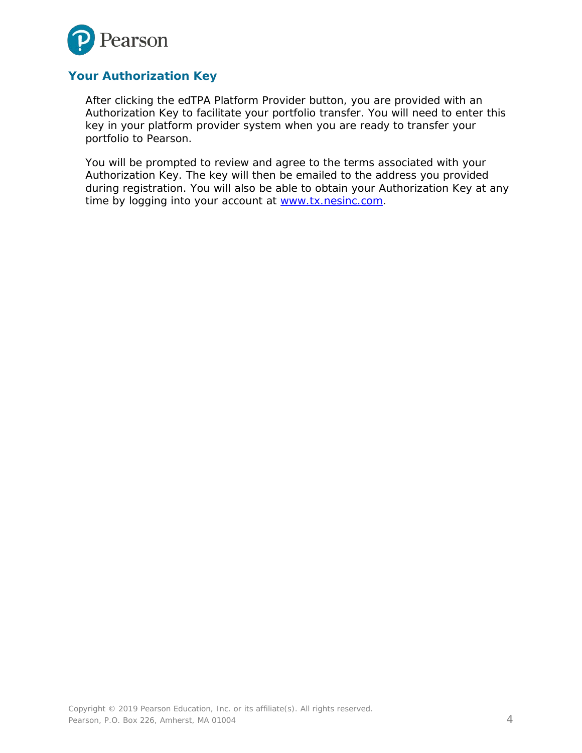

#### **Your Authorization Key**

After clicking the edTPA Platform Provider button, you are provided with an Authorization Key to facilitate your portfolio transfer. You will need to enter this key in your platform provider system when you are ready to transfer your portfolio to Pearson.

You will be prompted to review and agree to the terms associated with your Authorization Key. The key will then be emailed to the address you provided during registration. You will also be able to obtain your Authorization Key at any time by logging into your account at [www.tx.nesinc.com.](http://www.tx.nesinc.com/)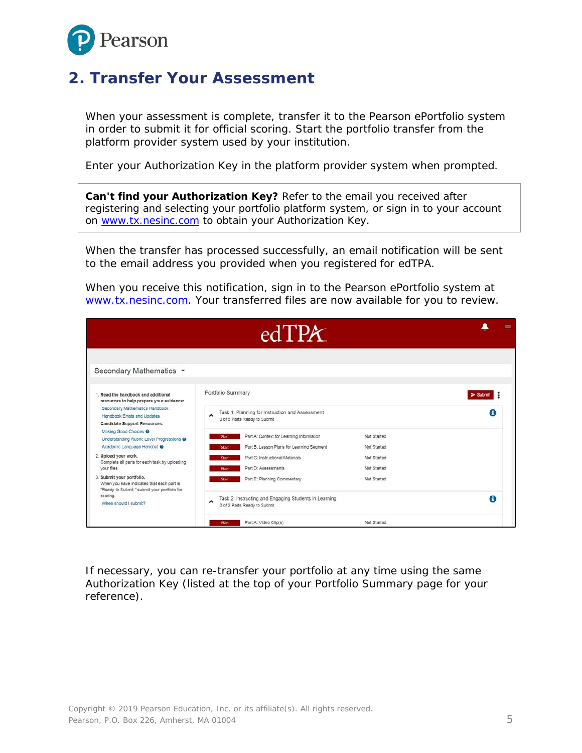

### <span id="page-4-0"></span>**2. Transfer Your Assessment**

When your assessment is complete, transfer it to the Pearson ePortfolio system in order to submit it for official scoring. Start the portfolio transfer from the platform provider system used by your institution.

Enter your Authorization Key in the platform provider system when prompted.

**Can't find your Authorization Key?** Refer to the email you received after registering and selecting your portfolio platform system, or sign in to your account on [www.tx.nesinc.com](http://www.tx.nesinc.com/) to obtain your Authorization Key.

When the transfer has processed successfully, an email notification will be sent to the email address you provided when you registered for edTPA.

When you receive this notification, sign in to the Pearson ePortfolio system at [www.tx.nesinc.com.](http://www.tx.nesinc.com/) Your transferred files are now available for you to review.

|                                                                                                                                                                                           | edTPX                                                                                                                                                                                                                                                                       |                 |
|-------------------------------------------------------------------------------------------------------------------------------------------------------------------------------------------|-----------------------------------------------------------------------------------------------------------------------------------------------------------------------------------------------------------------------------------------------------------------------------|-----------------|
| Secondary Mathematics *                                                                                                                                                                   |                                                                                                                                                                                                                                                                             |                 |
| 1. Read the handbook and additional<br>resources to help prepare your evidence:<br>Secondary Mathematics Handbook<br>Handbook Errata and Updates<br><b>Candidate Support Resources:</b>   | Portfolio Summary<br>Task 1: Planning for Instruction and Assessment<br>$\hat{\phantom{a}}$<br>0 of 5 Parts Ready to Submit                                                                                                                                                 | $>$ Submit<br>A |
| Making Good Choices @<br>Understanding Rubric Level Progressions @<br>Academic Language Handout @<br>2. Upload your work.<br>Complete all parts for each task by uploading<br>your files. | Part A: Context for Learning Information<br>Not Started<br><b>Start</b><br>Part B: Lesson Plans for Learning Segment<br>Not Started<br><b>Start</b><br>Part C: Instructional Materials<br>Not Started<br><b>Start</b><br>Part D: Assessments<br>Not Started<br><b>Start</b> |                 |
| 3. Submit your portfolio.<br>When you have indicated that each part is<br>"Ready to Submit," submit your portfolio for<br>scoring.<br>When should I submit?                               | Part E: Planning Commentary<br>Not Started<br><b>Start</b><br>Task 2: Instructing and Engaging Students in Learning<br>$\hat{\phantom{a}}$<br>0 of 2 Parts Ready to Submit                                                                                                  | A               |
|                                                                                                                                                                                           | Part A: Video Clip(s)<br>Not Started<br><b>Start</b>                                                                                                                                                                                                                        |                 |

If necessary, you can re-transfer your portfolio at any time using the same Authorization Key (listed at the top of your Portfolio Summary page for your reference).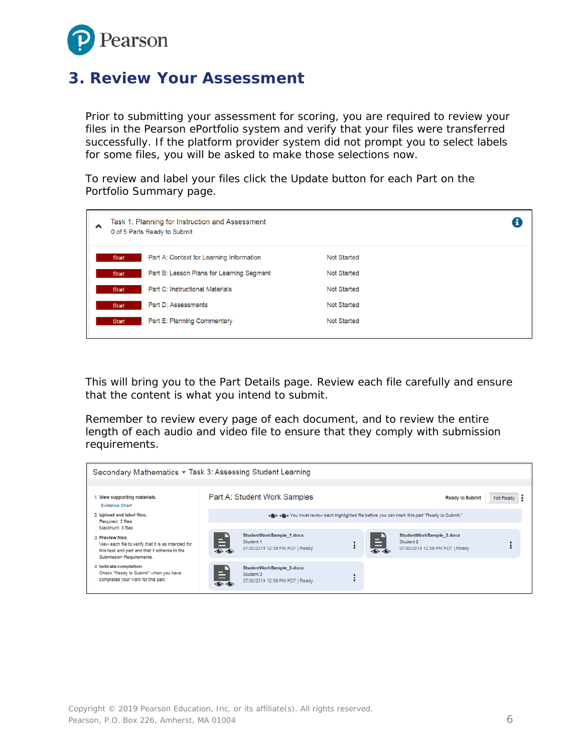

#### <span id="page-5-0"></span>**3. Review Your Assessment**

Prior to submitting your assessment for scoring, you are required to review your files in the Pearson ePortfolio system and verify that your files were transferred successfully. If the platform provider system did not prompt you to select labels for some files, you will be asked to make those selections now.

To review and label your files click the Update button for each Part on the Portfolio Summary page.

| ㅅ | Task 1: Planning for Instruction and Assessment<br>0 of 5 Parts Ready to Submit |                                           |             | Œ |
|---|---------------------------------------------------------------------------------|-------------------------------------------|-------------|---|
|   | Start                                                                           | Part A: Context for Learning Information  | Not Started |   |
|   | Start                                                                           | Part B: Lesson Plans for Learning Segment | Not Started |   |
|   | Start                                                                           | Part C: Instructional Materials           | Not Started |   |
|   | Start                                                                           | Part D: Assessments                       | Not Started |   |
|   | Start                                                                           | Part E: Planning Commentary               | Not Started |   |

This will bring you to the Part Details page. Review each file carefully and ensure that the content is what you intend to submit.

Remember to review every page of each document, and to review the entire length of each audio and video file to ensure that they comply with submission requirements.

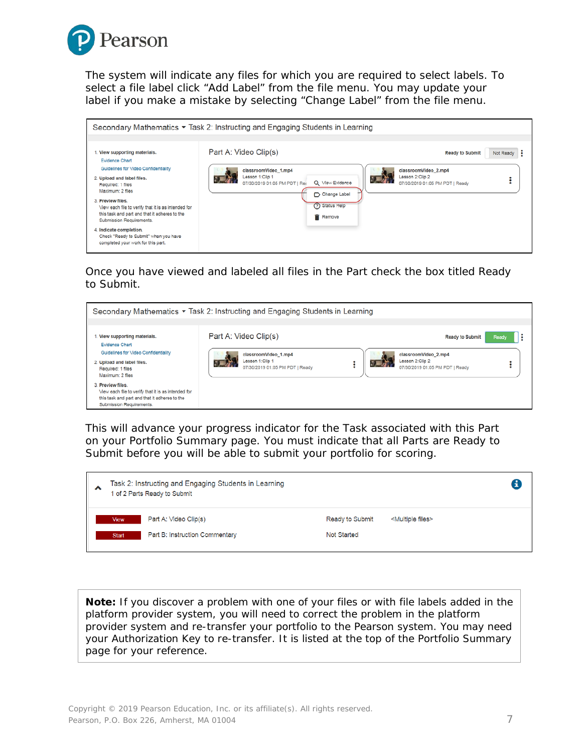

The system will indicate any files for which you are required to select labels. To select a file label click "Add Label" from the file menu. You may update your label if you make a mistake by selecting "Change Label" from the file menu.

| Secondary Mathematics ▼ Task 2: Instructing and Engaging Students in Learning                                                                         |                                                                                                             |                                                                            |  |  |  |  |
|-------------------------------------------------------------------------------------------------------------------------------------------------------|-------------------------------------------------------------------------------------------------------------|----------------------------------------------------------------------------|--|--|--|--|
| 1. View supporting materials.<br><b>Evidence Chart</b>                                                                                                | Part A: Video Clip(s)                                                                                       | Not Ready<br><b>Ready to Submit</b>                                        |  |  |  |  |
| Guidelines for Video Confidentiality<br>2. Upload and label files.<br>Required: 1 files<br>Maximum: 2 files                                           | classroomVideo 1.mp4<br>Lesson 1:Clip 1<br>Q View Evidence<br>07/30/2019 01:05 PM PDT   Rei<br>Change Label | classroomVideo 2.mp4<br>Lesson 2:Clip 2<br>07/30/2019 01:05 PM PDT   Ready |  |  |  |  |
| 3. Preview files.<br>View each file to verify that it is as intended for<br>this task and part and that it adheres to the<br>Submission Requirements. | (?) Status Help<br><b>Remove</b>                                                                            |                                                                            |  |  |  |  |
| 4. Indicate completion.<br>Check "Ready to Submit" when you have<br>completed your work for this part.                                                |                                                                                                             |                                                                            |  |  |  |  |

Once you have viewed and labeled all files in the Part check the box titled Ready to Submit.



This will advance your progress indicator for the Task associated with this Part on your Portfolio Summary page. You must indicate that all Parts are Ready to Submit before you will be able to submit your portfolio for scoring.

| ⌒ | Task 2: Instructing and Engaging Students in Learning<br>1 of 2 Parts Ready to Submit |                                                         |                                |                                |  |
|---|---------------------------------------------------------------------------------------|---------------------------------------------------------|--------------------------------|--------------------------------|--|
|   | View<br><b>Start</b>                                                                  | Part A: Video Clip(s)<br>Part B: Instruction Commentary | Ready to Submit<br>Not Started | <multiple files=""></multiple> |  |

**Note:** If you discover a problem with one of your files or with file labels added in the platform provider system, you will need to correct the problem in the platform provider system and re-transfer your portfolio to the Pearson system. You may need your Authorization Key to re-transfer. It is listed at the top of the Portfolio Summary page for your reference.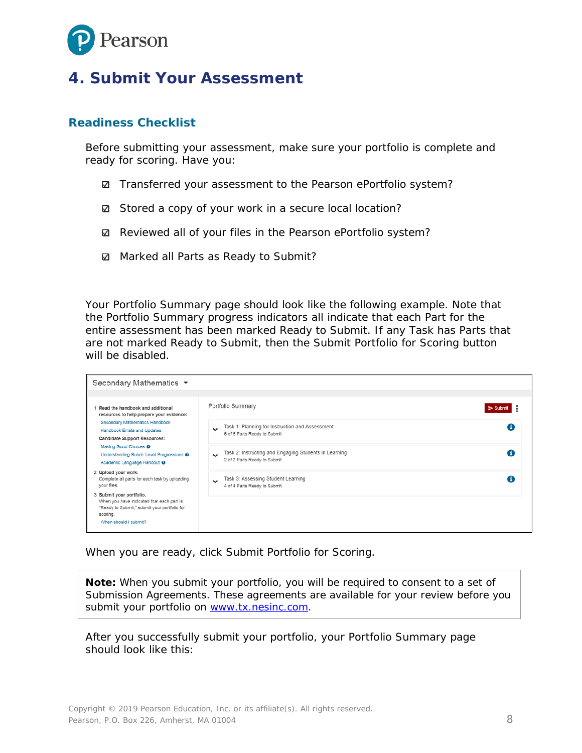

#### <span id="page-7-0"></span>**4. Submit Your Assessment**

#### **Readiness Checklist**

Before submitting your assessment, make sure your portfolio is complete and ready for scoring. Have you:

- **sqrt7** Transferred your assessment to the Pearson ePortfolio system?
- Stored a copy of your work in a secure local location?
- **■** Reviewed all of your files in the Pearson ePortfolio system?
- **Ø** Marked all Parts as Ready to Submit?

Your Portfolio Summary page should look like the following example. Note that the Portfolio Summary progress indicators all indicate that each Part for the entire assessment has been marked Ready to Submit. If any Task has Parts that are not marked Ready to Submit, then the Submit Portfolio for Scoring button will be disabled.

| Secondary Mathematics ▼                                                                                                                                     |                                                                                                    |            |  |  |  |
|-------------------------------------------------------------------------------------------------------------------------------------------------------------|----------------------------------------------------------------------------------------------------|------------|--|--|--|
| Read the handbook and additional<br>resources to help prepare your evidence:                                                                                | Portfolio Summary                                                                                  | $>$ Submit |  |  |  |
| Secondary Mathematics Handbook<br>Handbook Errata and Updates<br><b>Candidate Support Resources:</b>                                                        | Task 1: Planning for Instruction and Assessment<br>v<br>5 of 5 Parts Ready to Submit               | A          |  |  |  |
| Making Good Choices <sup>@</sup><br>Understanding Rubric Level Progressions @<br>Academic Language Handout @                                                | Task 2: Instructing and Engaging Students in Learning<br>$\ddot{}$<br>2 of 2 Parts Ready to Submit | A          |  |  |  |
| 2. Upload your work.<br>Complete all parts for each task by uploading<br>your files.                                                                        | Task 3: Assessing Student Learning<br>$\ddot{}$<br>4 of 4 Parts Ready to Submit                    | A          |  |  |  |
| 3. Submit your portfolio.<br>When you have indicated that each part is<br>"Ready to Submit," submit your portfolio for<br>scoring.<br>When should I submit? |                                                                                                    |            |  |  |  |

When you are ready, click Submit Portfolio for Scoring.

**Note:** When you submit your portfolio, you will be required to consent to a set of Submission Agreements. These agreements are available for your review before you submit your portfolio on [www.tx.nesinc.com.](http://www.tx.nesinc.com/)

After you successfully submit your portfolio, your Portfolio Summary page should look like this: